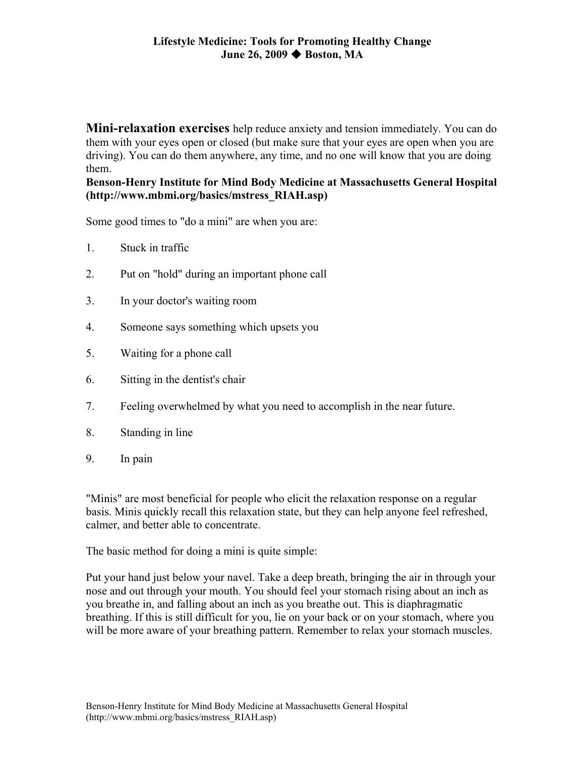**Mini-relaxation exercises** help reduce anxiety and tension immediately. You can do them with your eyes open or closed (but make sure that your eyes are open when you are driving). You can do them anywhere, any time, and no one will know that you are doing them.

**Benson-Henry Institute for Mind Body Medicine at Massachusetts General Hospital (http://www.mbmi.org/basics/mstress\_RIAH.asp)** 

Some good times to "do a mini" are when you are:

- 1. Stuck in traffic
- 2. Put on "hold" during an important phone call
- 3. In your doctor's waiting room
- 4. Someone says something which upsets you
- 5. Waiting for a phone call
- 6. Sitting in the dentist's chair
- 7. Feeling overwhelmed by what you need to accomplish in the near future.
- 8. Standing in line
- 9. In pain

"Minis" are most beneficial for people who elicit the relaxation response on a regular basis. Minis quickly recall this relaxation state, but they can help anyone feel refreshed, calmer, and better able to concentrate.

The basic method for doing a mini is quite simple:

Put your hand just below your navel. Take a deep breath, bringing the air in through your nose and out through your mouth. You should feel your stomach rising about an inch as you breathe in, and falling about an inch as you breathe out. This is diaphragmatic breathing. If this is still difficult for you, lie on your back or on your stomach, where you will be more aware of your breathing pattern. Remember to relax your stomach muscles.